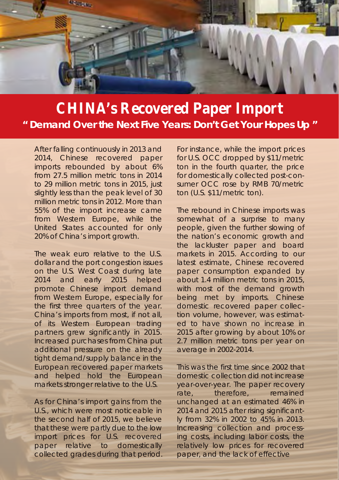

## **CHINA's Recovered Paper Import " Demand Over the Next Five Years: Don't Get Your Hopes Up "**

After falling continuously in 2013 and 2014, Chinese recovered paper imports rebounded by about 6% from 27.5 million metric tons in 2014 to 29 million metric tons in 2015, just slightly less than the peak level of 30 million metric tons in 2012. More than 55% of the import increase came from Western Europe, while the United States accounted for only 20% of China's import growth.

The weak euro relative to the U.S. dollar and the port congestion issues on the U.S. West Coast during late 2014 and early 2015 helped promote Chinese import demand from Western Europe, especially for the first three quarters of the year. China's imports from most, if not all, of its Western European trading partners grew significantly in 2015. Increased purchases from China put additional pressure on the already tight demand/supply balance in the European recovered paper markets and helped hold the European markets stronger relative to the U.S.

As for China's import gains from the U.S., which were most noticeable in the second half of 2015, we believe that these were partly due to the low import prices for U.S. recovered paper relative to domestically collected grades during that period.

For instance, while the import prices for U.S. OCC dropped by \$11/metric ton in the fourth quarter, the price for domestically collected post-consumer OCC rose by RMB 70/metric ton (U.S. \$11/metric ton).

The rebound in Chinese imports was somewhat of a surprise to many people, given the further slowing of the nation's economic growth and the lackluster paper and board markets in 2015. According to our latest estimate, Chinese recovered paper consumption expanded by about 1.4 million metric tons in 2015, with most of the demand growth being met by imports. Chinese domestic recovered paper collection volume, however, was estimated to have shown no increase in 2015 after growing by about 10% or 2.7 million metric tons per year on average in 2002-2014.

This was the first time since 2002 that domestic collection did not increase year-over-year. The paper recovery rate, therefore, remained unchanged at an estimated 46% in 2014 and 2015 after rising significantly from 32% in 2002 to 45% in 2013. Increasing collection and processing costs, including labor costs, the relatively low prices for recovered paper, and the lack of effective